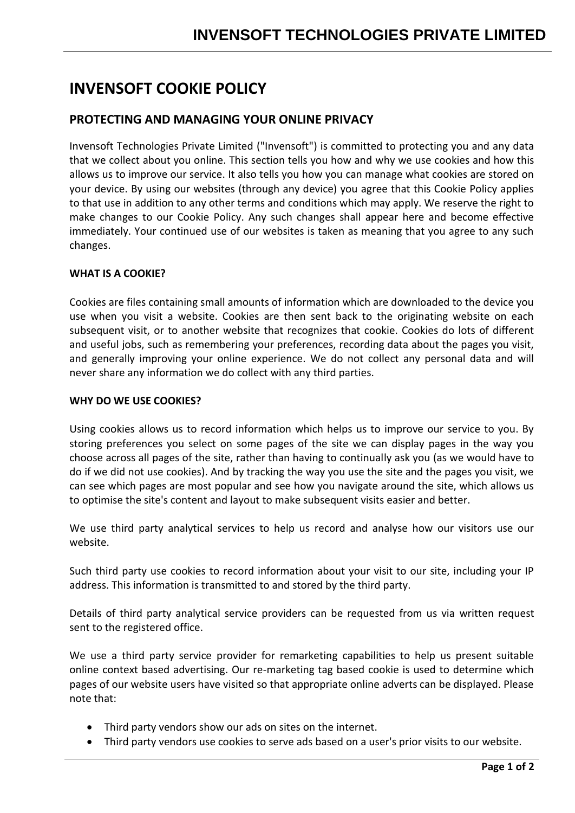# **INVENSOFT COOKIE POLICY**

# **PROTECTING AND MANAGING YOUR ONLINE PRIVACY**

Invensoft Technologies Private Limited ("Invensoft") is committed to protecting you and any data that we collect about you online. This section tells you how and why we use cookies and how this allows us to improve our service. It also tells you how you can manage what cookies are stored on your device. By using our websites (through any device) you agree that this Cookie Policy applies to that use in addition to any other terms and conditions which may apply. We reserve the right to make changes to our Cookie Policy. Any such changes shall appear here and become effective immediately. Your continued use of our websites is taken as meaning that you agree to any such changes.

## **WHAT IS A COOKIE?**

Cookies are files containing small amounts of information which are downloaded to the device you use when you visit a website. Cookies are then sent back to the originating website on each subsequent visit, or to another website that recognizes that cookie. Cookies do lots of different and useful jobs, such as remembering your preferences, recording data about the pages you visit, and generally improving your online experience. We do not collect any personal data and will never share any information we do collect with any third parties.

### **WHY DO WE USE COOKIES?**

Using cookies allows us to record information which helps us to improve our service to you. By storing preferences you select on some pages of the site we can display pages in the way you choose across all pages of the site, rather than having to continually ask you (as we would have to do if we did not use cookies). And by tracking the way you use the site and the pages you visit, we can see which pages are most popular and see how you navigate around the site, which allows us to optimise the site's content and layout to make subsequent visits easier and better.

We use third party analytical services to help us record and analyse how our visitors use our website.

Such third party use cookies to record information about your visit to our site, including your IP address. This information is transmitted to and stored by the third party.

Details of third party analytical service providers can be requested from us via written request sent to the registered office.

We use a third party service provider for remarketing capabilities to help us present suitable online context based advertising. Our re-marketing tag based cookie is used to determine which pages of our website users have visited so that appropriate online adverts can be displayed. Please note that:

- Third party vendors show our ads on sites on the internet.
- Third party vendors use cookies to serve ads based on a user's prior visits to our website.